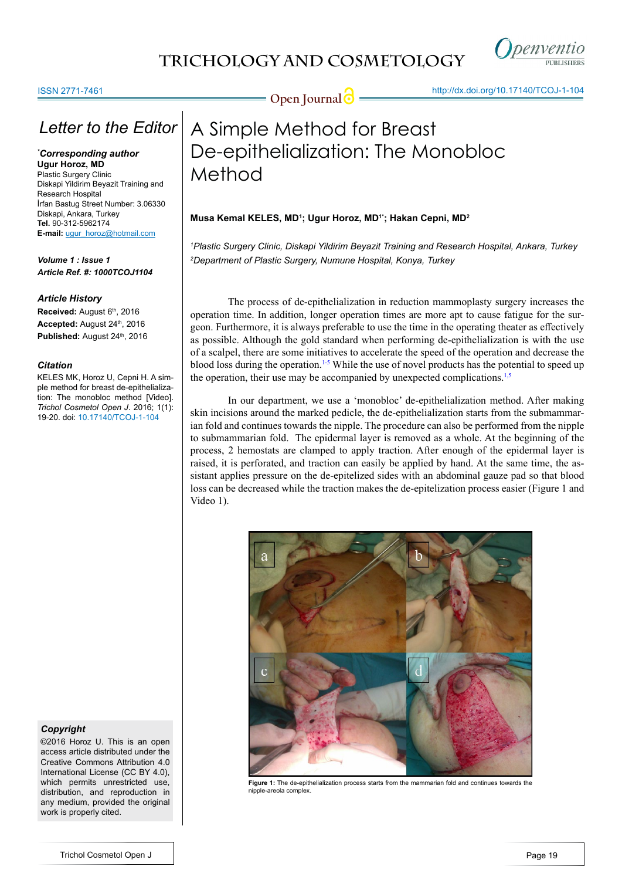

### ISSN 2771-7461

### *Letter to the Editor*

*\* Corresponding author* **Ugur Horoz, MD** Plastic Surgery Clinic Diskapi Yildirim Beyazit Training and Research Hospital İrfan Bastug Street Number: 3.06330 Diskapi, Ankara, Turkey

**Tel.** 90-312-5962174 **E-mail:** ugur\_horoz@hotmail.com

*Volume 1 : Issue 1 Article Ref. #: 1000TCOJ1104*

### *Article History*

**Received: August 6th, 2016** Accepted: August 24<sup>th</sup>, 2016 Published: August 24<sup>th</sup>, 2016

### *Citation*

KELES MK, Horoz U, Cepni H. A simple method for breast de-epithelialization: The monobloc method [Video]. *Trichol Cosmetol Open J*. 2016; 1(1): 19-20. doi: [10.17140/TCOJ-1-104](http://dx.doi.org/10.17140/TCOJ-1-104)

### *Copyright*

©2016 Horoz U. This is an open access article distributed under the Creative Commons Attribution 4.0 International License (CC BY 4.0), which permits unrestricted use, distribution, and reproduction in any medium, provided the original work is properly cited.

**Open Journal <b>C** 11 minutes 100 minutes 100 minutes 100 minutes 100 minutes 100 minutes 100 minutes 100 minutes 100 minutes 100 minutes 100 minutes 100 minutes 100 minutes 100 minutes 100 minutes 100 minutes 100 minutes 1

# A Simple Method for Breast De-epithelialization: The Monobloc Method

### **Musa Kemal KELES, MD1 ; Ugur Horoz, MD1\*; Hakan Cepni, MD2**

*1 Plastic Surgery Clinic, Diskapi Yildirim Beyazit Training and Research Hospital, Ankara, Turkey 2 Department of Plastic Surgery, Numune Hospital, Konya, Turkey*

The process of de-epithelialization in reduction mammoplasty surgery increases the operation time. In addition, longer operation times are more apt to cause fatigue for the surgeon. Furthermore, it is always preferable to use the time in the operating theater as effectively as possible. Although the gold standard when performing de-epithelialization is with the use of a scalpel, there are some initiatives to accelerate the speed of the operation and decrease the blood loss during the operation.<sup>1-5</sup> While the use of novel products has the potential to speed up the operation, their use may be accompanied by unexpected complications.<sup>1,5</sup>

In our department, we use a 'monobloc' de-epithelialization method. After making skin incisions around the marked pedicle, the de-epithelialization starts from the submammarian fold and continues towards the nipple. The procedure can also be performed from the nipple to submammarian fold. The epidermal layer is removed as a whole. At the beginning of the process, 2 hemostats are clamped to apply traction. After enough of the epidermal layer is raised, it is perforated, and traction can easily be applied by hand. At the same time, the assistant applies pressure on the de-epitelized sides with an abdominal gauze pad so that blood loss can be decreased while the traction makes the de-epitelization process easier (Figure 1 and Video 1).



**Figure 1:** The de-epithelialization process starts from the mammarian fold and continues towards the nipple-areola complex.